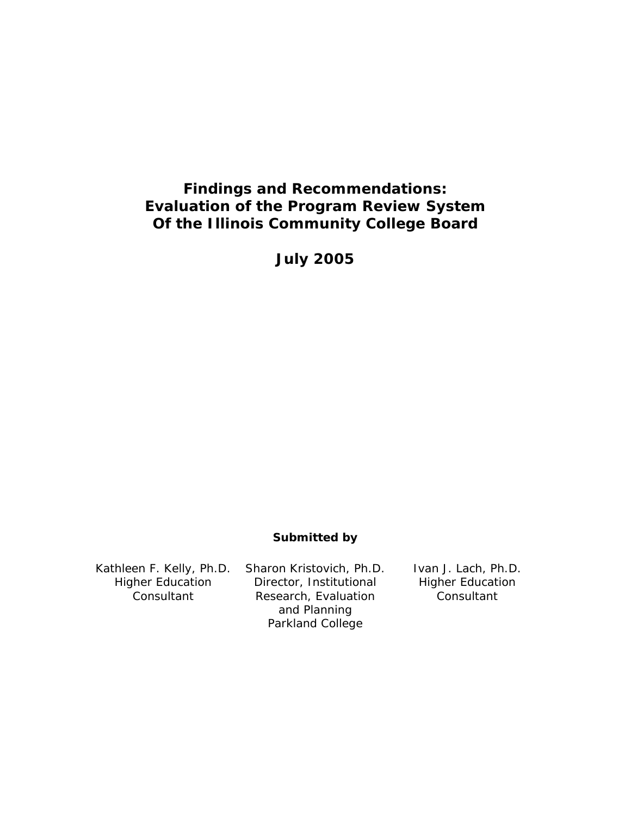# **Findings and Recommendations: Evaluation of the Program Review System Of the Illinois Community College Board**

**July 2005** 

# **Submitted by**

Kathleen F. Kelly, Ph.D. Higher Education **Consultant** Sharon Kristovich, Ph.D. Director, Institutional Research, Evaluation and Planning Parkland College Ivan J. Lach, Ph.D. Higher Education **Consultant**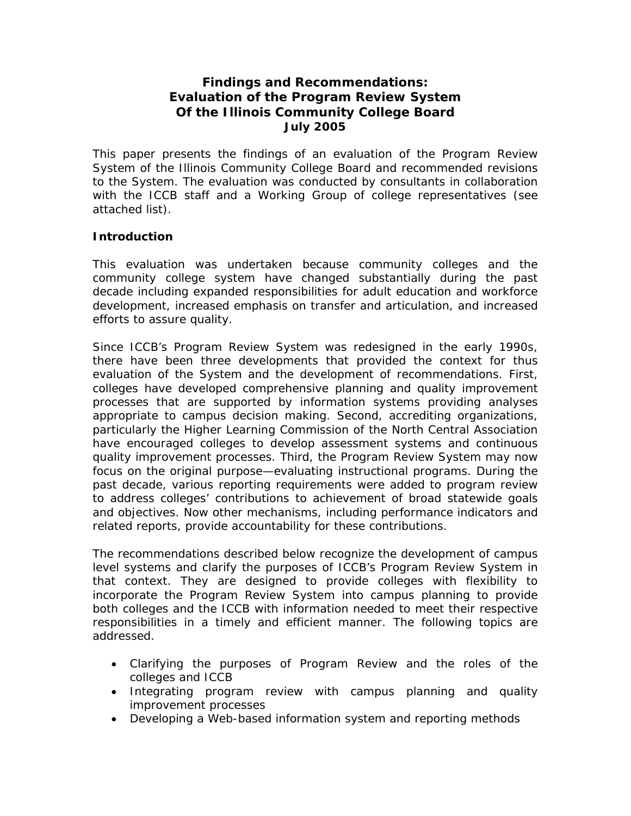# **Findings and Recommendations: Evaluation of the Program Review System Of the Illinois Community College Board July 2005**

This paper presents the findings of an evaluation of the Program Review System of the Illinois Community College Board and recommended revisions to the System. The evaluation was conducted by consultants in collaboration with the ICCB staff and a Working Group of college representatives (see attached list).

# **Introduction**

This evaluation was undertaken because community colleges and the community college system have changed substantially during the past decade including expanded responsibilities for adult education and workforce development, increased emphasis on transfer and articulation, and increased efforts to assure quality.

Since ICCB's Program Review System was redesigned in the early 1990s, there have been three developments that provided the context for thus evaluation of the System and the development of recommendations. First, colleges have developed comprehensive planning and quality improvement processes that are supported by information systems providing analyses appropriate to campus decision making. Second, accrediting organizations, particularly the Higher Learning Commission of the North Central Association have encouraged colleges to develop assessment systems and continuous quality improvement processes. Third, the Program Review System may now focus on the original purpose—evaluating instructional programs. During the past decade, various reporting requirements were added to program review to address colleges' contributions to achievement of broad statewide goals and objectives. Now other mechanisms, including performance indicators and related reports, provide accountability for these contributions.

The recommendations described below recognize the development of campus level systems and clarify the purposes of ICCB's Program Review System in that context. They are designed to provide colleges with flexibility to incorporate the Program Review System into campus planning to provide both colleges and the ICCB with information needed to meet their respective responsibilities in a timely and efficient manner. The following topics are addressed.

- Clarifying the purposes of Program Review and the roles of the colleges and ICCB
- Integrating program review with campus planning and quality improvement processes
- Developing a Web-based information system and reporting methods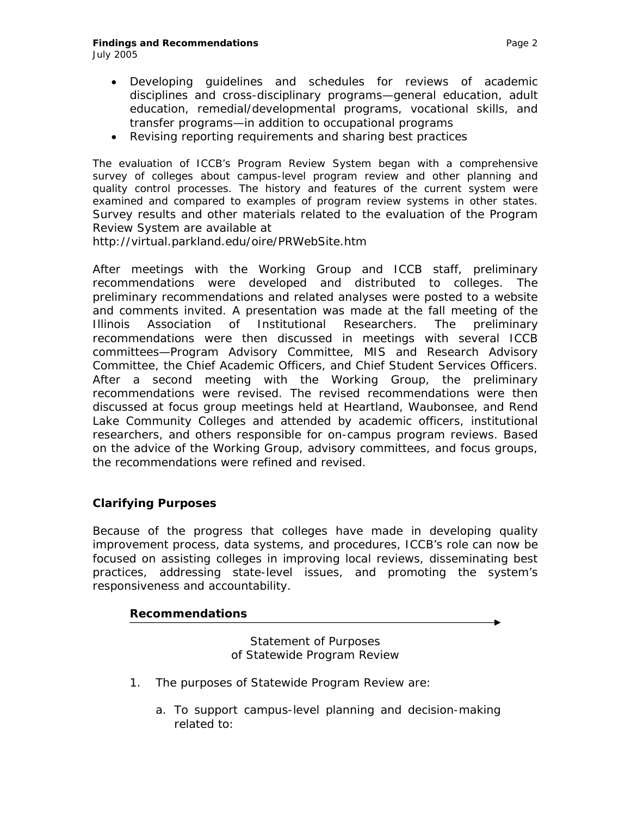# **Findings and Recommendations Page 2 Page 2 Page 2 Page 2**

- 
- Developing guidelines and schedules for reviews of academic disciplines and cross-disciplinary programs—general education, adult education, remedial/developmental programs, vocational skills, and transfer programs—in addition to occupational programs
- Revising reporting requirements and sharing best practices

The evaluation of ICCB's Program Review System began with a comprehensive survey of colleges about campus-level program review and other planning and quality control processes. The history and features of the current system were examined and compared to examples of program review systems in other states. Survey results and other materials related to the evaluation of the Program Review System are available at

http://virtual.parkland.edu/oire/PRWebSite.htm

After meetings with the Working Group and ICCB staff, preliminary recommendations were developed and distributed to colleges. The preliminary recommendations and related analyses were posted to a website and comments invited. A presentation was made at the fall meeting of the Illinois Association of Institutional Researchers. The preliminary recommendations were then discussed in meetings with several ICCB committees—Program Advisory Committee, MIS and Research Advisory Committee, the Chief Academic Officers, and Chief Student Services Officers. After a second meeting with the Working Group, the preliminary recommendations were revised. The revised recommendations were then discussed at focus group meetings held at Heartland, Waubonsee, and Rend Lake Community Colleges and attended by academic officers, institutional researchers, and others responsible for on-campus program reviews. Based on the advice of the Working Group, advisory committees, and focus groups, the recommendations were refined and revised.

# **Clarifying Purposes**

Because of the progress that colleges have made in developing quality improvement process, data systems, and procedures, ICCB's role can now be focused on assisting colleges in improving local reviews, disseminating best practices, addressing state-level issues, and promoting the system's responsiveness and accountability.

# *Recommendations*

*Statement of Purposes of Statewide Program Review* 

- *1. The purposes of Statewide Program Review are:* 
	- *a. To support campus-level planning and decision-making related to:*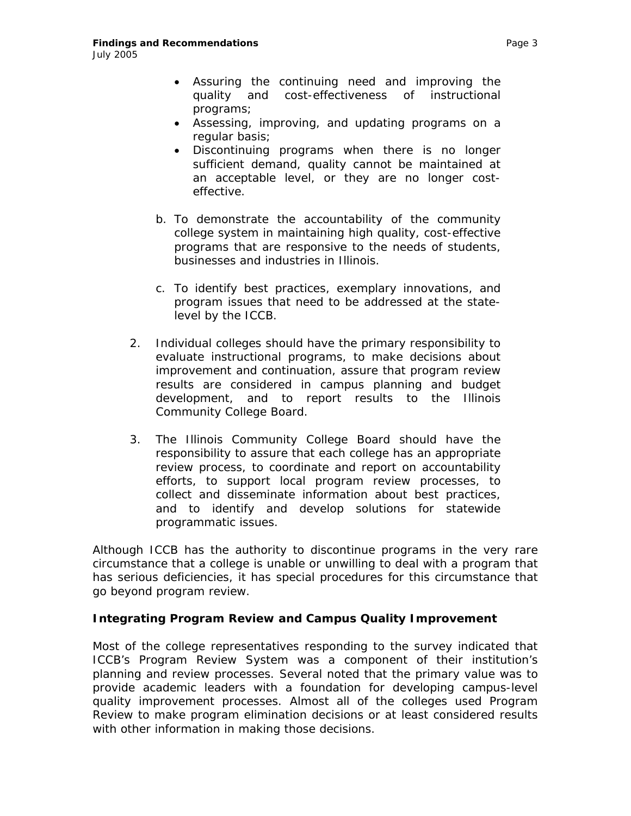- *Assuring the continuing need and improving the quality and cost-effectiveness of instructional programs;*
- *Assessing, improving, and updating programs on a regular basis;*
- *Discontinuing programs when there is no longer sufficient demand, quality cannot be maintained at an acceptable level, or they are no longer costeffective.*
- *b. To demonstrate the accountability of the community college system in maintaining high quality, cost-effective programs that are responsive to the needs of students, businesses and industries in Illinois.*
- *c. To identify best practices, exemplary innovations, and program issues that need to be addressed at the statelevel by the ICCB.*
- *2. Individual colleges should have the primary responsibility to evaluate instructional programs, to make decisions about improvement and continuation, assure that program review results are considered in campus planning and budget development, and to report results to the Illinois Community College Board.*
- *3. The Illinois Community College Board should have the responsibility to assure that each college has an appropriate review process, to coordinate and report on accountability efforts, to support local program review processes, to collect and disseminate information about best practices, and to identify and develop solutions for statewide programmatic issues.*

Although ICCB has the authority to discontinue programs in the very rare circumstance that a college is unable or unwilling to deal with a program that has serious deficiencies, it has special procedures for this circumstance that go beyond program review.

### **Integrating Program Review and Campus Quality Improvement**

Most of the college representatives responding to the survey indicated that ICCB's Program Review System was a component of their institution's planning and review processes. Several noted that the primary value was to provide academic leaders with a foundation for developing campus-level quality improvement processes. Almost all of the colleges used Program Review to make program elimination decisions or at least considered results with other information in making those decisions.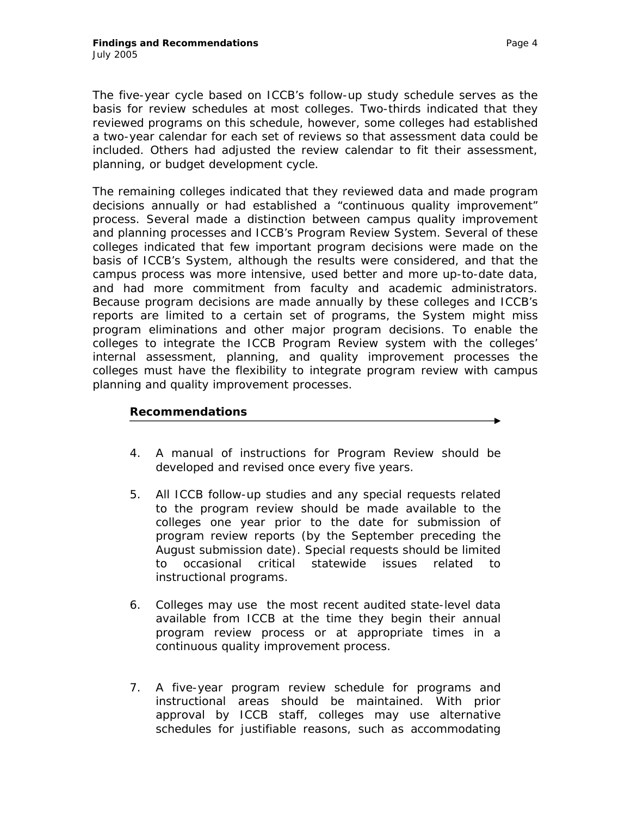The five-year cycle based on ICCB's follow-up study schedule serves as the basis for review schedules at most colleges. Two-thirds indicated that they reviewed programs on this schedule, however, some colleges had established a two-year calendar for each set of reviews so that assessment data could be included. Others had adjusted the review calendar to fit their assessment, planning, or budget development cycle.

The remaining colleges indicated that they reviewed data and made program decisions annually or had established a "continuous quality improvement" process. Several made a distinction between campus quality improvement and planning processes and ICCB's Program Review System. Several of these colleges indicated that few important program decisions were made on the basis of ICCB's System, although the results were considered, and that the campus process was more intensive, used better and more up-to-date data, and had more commitment from faculty and academic administrators. Because program decisions are made annually by these colleges and ICCB's reports are limited to a certain set of programs, the System might miss program eliminations and other major program decisions. To enable the colleges to integrate the ICCB Program Review system with the colleges' internal assessment, planning, and quality improvement processes the colleges must have the flexibility to integrate program review with campus planning and quality improvement processes.

### *Recommendations*

- *4. A manual of instructions for Program Review should be developed and revised once every five years.*
- 5. *All ICCB follow-up studies and any special requests related to the program review should be made available to the colleges one year prior to the date for submission of program review reports (by the September preceding the August submission date). Special requests should be limited to occasional critical statewide issues related to instructional programs*.
- *6. Colleges may use the most recent audited state-level data available from ICCB at the time they begin their annual program review process or at appropriate times in a continuous quality improvement process.*
- *7. A five-year program review schedule for programs and instructional areas should be maintained. With prior approval by ICCB staff, colleges may use alternative schedules for justifiable reasons, such as accommodating*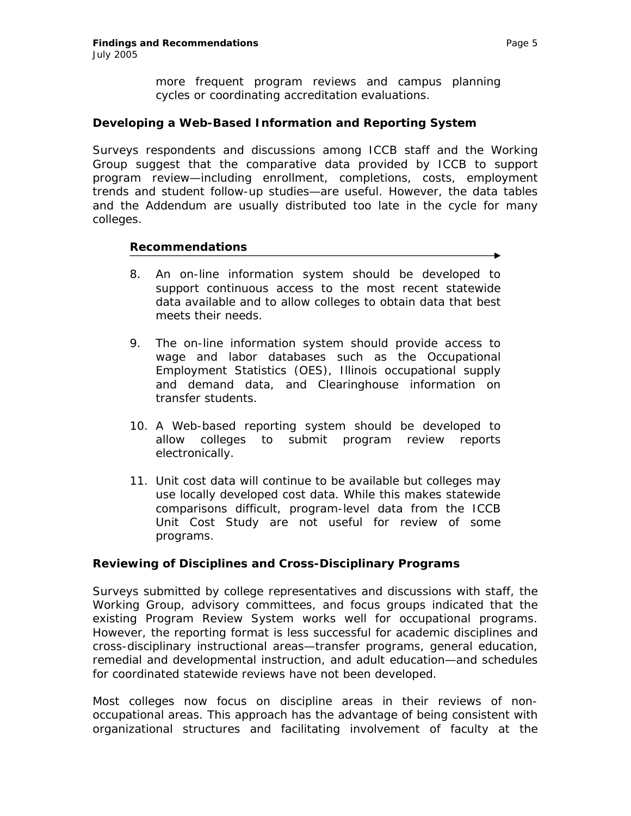*more frequent program reviews and campus planning cycles or coordinating accreditation evaluations.* 

### **Developing a Web-Based Information and Reporting System**

Surveys respondents and discussions among ICCB staff and the Working Group suggest that the comparative data provided by ICCB to support program review—including enrollment, completions, costs, employment trends and student follow-up studies—are useful. However, the data tables and the *Addendum* are usually distributed too late in the cycle for many colleges.

### *Recommendations*

- *8. An on-line information system should be developed to support continuous access to the most recent statewide data available and to allow colleges to obtain data that best meets their needs.*
- *9. The on-line information system should provide access to wage and labor databases such as the Occupational Employment Statistics (OES), Illinois occupational supply and demand data, and Clearinghouse information on transfer students.*
- *10. A Web-based reporting system should be developed to allow colleges to submit program review reports electronically.*
- *11. Unit cost data will continue to be available but colleges may use locally developed cost data. While this makes statewide comparisons difficult, program-level data from the ICCB Unit Cost Study are not useful for review of some programs.*

### **Reviewing of Disciplines and Cross-Disciplinary Programs**

Surveys submitted by college representatives and discussions with staff, the Working Group, advisory committees, and focus groups indicated that the existing Program Review System works well for occupational programs. However, the reporting format is less successful for academic disciplines and cross-disciplinary instructional areas—transfer programs, general education, remedial and developmental instruction, and adult education—and schedules for coordinated statewide reviews have not been developed.

Most colleges now focus on discipline areas in their reviews of nonoccupational areas. This approach has the advantage of being consistent with organizational structures and facilitating involvement of faculty at the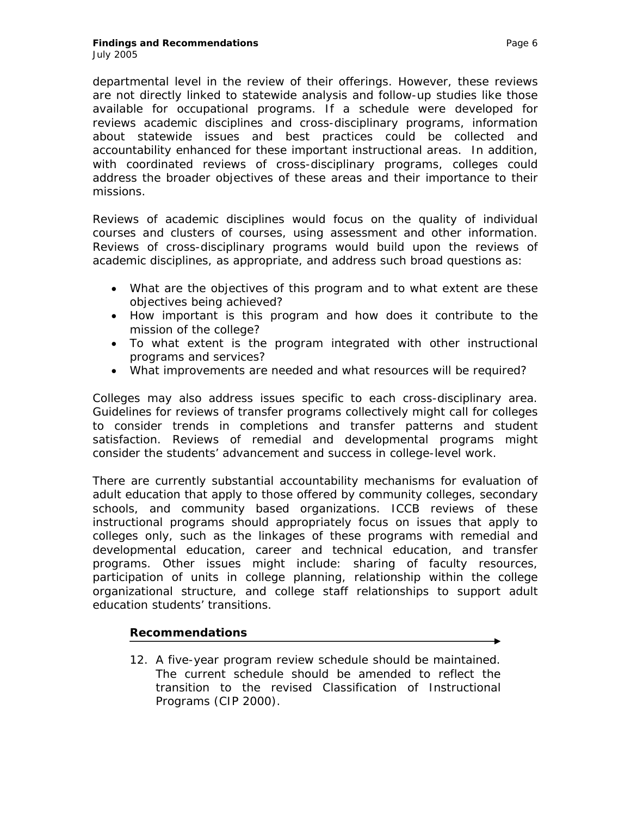departmental level in the review of their offerings. However, these reviews are not directly linked to statewide analysis and follow-up studies like those available for occupational programs. If a schedule were developed for reviews academic disciplines and cross-disciplinary programs, information about statewide issues and best practices could be collected and accountability enhanced for these important instructional areas. In addition, with coordinated reviews of cross-disciplinary programs, colleges could address the broader objectives of these areas and their importance to their missions.

Reviews of academic disciplines would focus on the quality of individual courses and clusters of courses, using assessment and other information. Reviews of cross-disciplinary programs would build upon the reviews of academic disciplines, as appropriate, and address such broad questions as:

- What are the objectives of this program and to what extent are these objectives being achieved?
- How important is this program and how does it contribute to the mission of the college?
- To what extent is the program integrated with other instructional programs and services?
- What improvements are needed and what resources will be required?

Colleges may also address issues specific to each cross-disciplinary area. Guidelines for reviews of transfer programs collectively might call for colleges to consider trends in completions and transfer patterns and student satisfaction. Reviews of remedial and developmental programs might consider the students' advancement and success in college-level work.

There are currently substantial accountability mechanisms for evaluation of adult education that apply to those offered by community colleges, secondary schools, and community based organizations. ICCB reviews of these instructional programs should appropriately focus on issues that apply to colleges only, such as the linkages of these programs with remedial and developmental education, career and technical education, and transfer programs. Other issues might include: sharing of faculty resources, participation of units in college planning, relationship within the college organizational structure, and college staff relationships to support adult education students' transitions.

# *Recommendations*

*12. A five-year program review schedule should be maintained. The current schedule should be amended to reflect the transition to the revised Classification of Instructional Programs (CIP 2000).*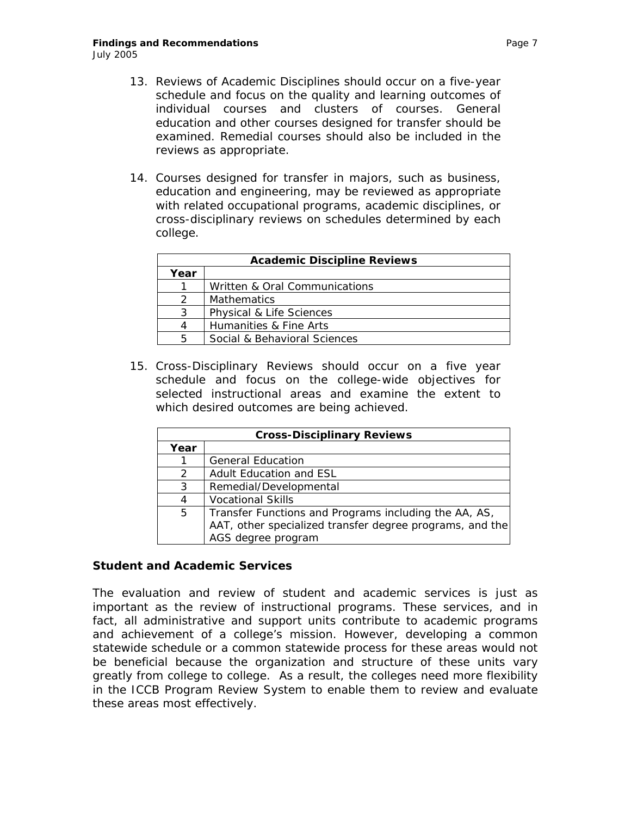- *13. Reviews of Academic Disciplines should occur on a five-year schedule and focus on the quality and learning outcomes of individual courses and clusters of courses. General education and other courses designed for transfer should be examined. Remedial courses should also be included in the reviews as appropriate.*
- *14. Courses designed for transfer in majors, such as business, education and engineering, may be reviewed as appropriate with related occupational programs, academic disciplines, or cross-disciplinary reviews on schedules determined by each college.*

| <b>Academic Discipline Reviews</b> |                               |  |
|------------------------------------|-------------------------------|--|
| Year                               |                               |  |
|                                    | Written & Oral Communications |  |
|                                    | <b>Mathematics</b>            |  |
| 3                                  | Physical & Life Sciences      |  |
| $\Lambda$                          | Humanities & Fine Arts        |  |
|                                    | Social & Behavioral Sciences  |  |

*15. Cross-Disciplinary Reviews should occur on a five year schedule and focus on the college-wide objectives for selected instructional areas and examine the extent to which desired outcomes are being achieved.* 

| <b>Cross-Disciplinary Reviews</b> |                                                                                                                                         |  |
|-----------------------------------|-----------------------------------------------------------------------------------------------------------------------------------------|--|
| Year                              |                                                                                                                                         |  |
|                                   | <b>General Education</b>                                                                                                                |  |
| $\mathcal{P}$                     | Adult Education and ESL                                                                                                                 |  |
| 3                                 | Remedial/Developmental                                                                                                                  |  |
| 4                                 | <b>Vocational Skills</b>                                                                                                                |  |
| 5                                 | Transfer Functions and Programs including the AA, AS,<br>AAT, other specialized transfer degree programs, and the<br>AGS degree program |  |

### **Student and Academic Services**

The evaluation and review of student and academic services is just as important as the review of instructional programs. These services, and in fact, all administrative and support units contribute to academic programs and achievement of a college's mission. However, developing a common statewide schedule or a common statewide process for these areas would not be beneficial because the organization and structure of these units vary greatly from college to college. As a result, the colleges need more flexibility in the ICCB Program Review System to enable them to review and evaluate these areas most effectively.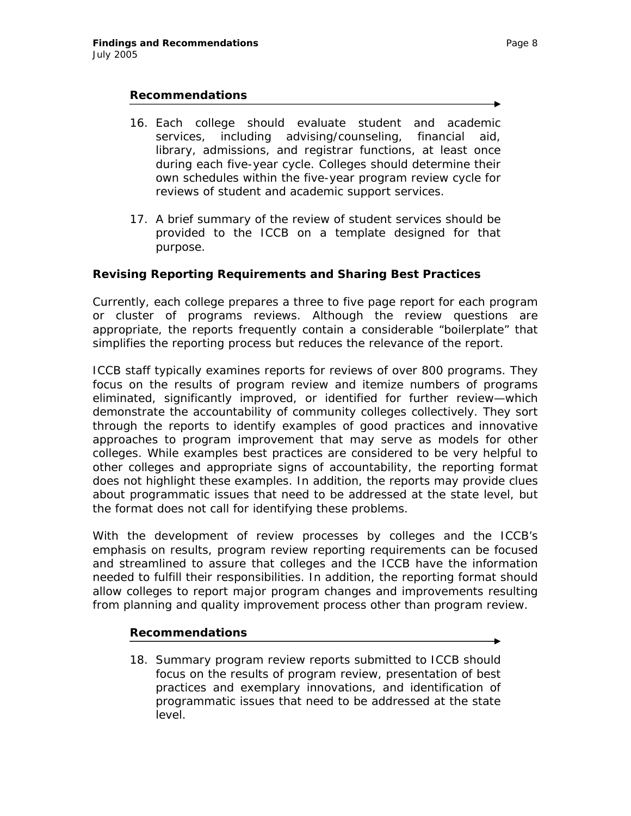### *Recommendations*

- *16. Each college should evaluate student and academic services, including advising/counseling, financial aid, library, admissions, and registrar functions, at least once during each five-year cycle. Colleges should determine their own schedules within the five-year program review cycle for reviews of student and academic support services.*
- *17. A brief summary of the review of student services should be provided to the ICCB on a template designed for that purpose.*

# **Revising Reporting Requirements and Sharing Best Practices**

Currently, each college prepares a three to five page report for each program or cluster of programs reviews. Although the review questions are appropriate, the reports frequently contain a considerable "boilerplate" that simplifies the reporting process but reduces the relevance of the report.

ICCB staff typically examines reports for reviews of over 800 programs. They focus on the results of program review and itemize numbers of programs eliminated, significantly improved, or identified for further review—which demonstrate the accountability of community colleges collectively. They sort through the reports to identify examples of good practices and innovative approaches to program improvement that may serve as models for other colleges. While examples best practices are considered to be very helpful to other colleges and appropriate signs of accountability, the reporting format does not highlight these examples. In addition, the reports may provide clues about programmatic issues that need to be addressed at the state level, but the format does not call for identifying these problems.

With the development of review processes by colleges and the ICCB's emphasis on results, program review reporting requirements can be focused and streamlined to assure that colleges and the ICCB have the information needed to fulfill their responsibilities. In addition, the reporting format should allow colleges to report major program changes and improvements resulting from planning and quality improvement process other than program review.

### *Recommendations*

*18. Summary program review reports submitted to ICCB should focus on the results of program review, presentation of best practices and exemplary innovations, and identification of programmatic issues that need to be addressed at the state level.*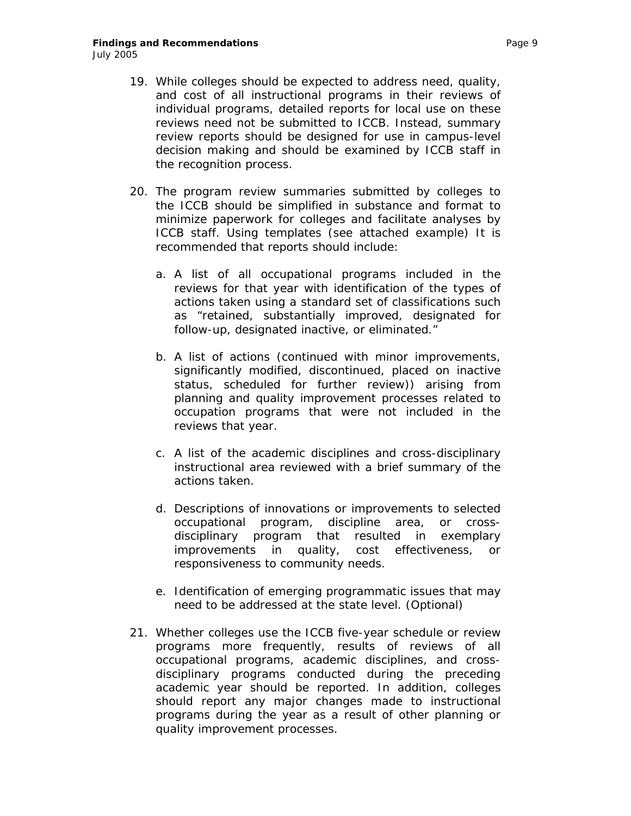- *19. While colleges should be expected to address need, quality, and cost of all instructional programs in their reviews of individual programs, detailed reports for local use on these reviews need not be submitted to ICCB. Instead, summary review reports should be designed for use in campus-level decision making and should be examined by ICCB staff in the recognition process.*
- *20. The program review summaries submitted by colleges to the ICCB should be simplified in substance and format to minimize paperwork for colleges and facilitate analyses by ICCB staff. Using templates (see attached example) It is recommended that reports should include:* 
	- *a. A list of all occupational programs included in the reviews for that year with identification of the types of actions taken using a standard set of classifications such as "retained, substantially improved, designated for follow-up, designated inactive, or eliminated."*
	- *b. A list of actions (continued with minor improvements, significantly modified, discontinued, placed on inactive status, scheduled for further review)) arising from planning and quality improvement processes related to occupation programs that were not included in the reviews that year.*
	- *c. A list of the academic disciplines and cross-disciplinary instructional area reviewed with a brief summary of the actions taken.*
	- *d. Descriptions of innovations or improvements to selected occupational program, discipline area, or crossdisciplinary program that resulted in exemplary improvements in quality, cost effectiveness, or responsiveness to community needs.*
	- *e. Identification of emerging programmatic issues that may need to be addressed at the state level. (Optional)*
- *21. Whether colleges use the ICCB five-year schedule or review programs more frequently, results of reviews of all occupational programs, academic disciplines, and crossdisciplinary programs conducted during the preceding academic year should be reported. In addition, colleges should report any major changes made to instructional programs during the year as a result of other planning or quality improvement processes.*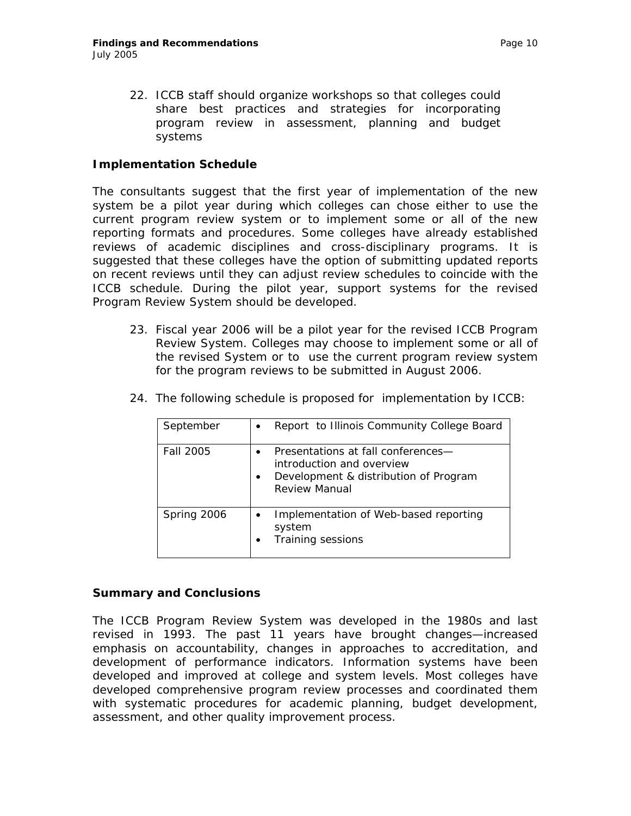*22. ICCB staff should organize workshops so that colleges could share best practices and strategies for incorporating program review in assessment, planning and budget systems* 

## **Implementation Schedule**

The consultants suggest that the first year of implementation of the new system be a pilot year during which colleges can chose either to use the current program review system or to implement some or all of the new reporting formats and procedures. Some colleges have already established reviews of academic disciplines and cross-disciplinary programs. It is suggested that these colleges have the option of submitting updated reports on recent reviews until they can adjust review schedules to coincide with the ICCB schedule. During the pilot year, support systems for the revised Program Review System should be developed.

23. *Fiscal year 2006 will be a pilot year for the revised ICCB Program Review System. Colleges may choose to implement some or all of the revised System or to use the current program review system for the program reviews to be submitted in August 2006.*

| September   | Report to Illinois Community College Board                                                                                |
|-------------|---------------------------------------------------------------------------------------------------------------------------|
| Fall 2005   | Presentations at fall conferences-<br>introduction and overview<br>Development & distribution of Program<br>Review Manual |
| Spring 2006 | Implementation of Web-based reporting<br>system<br><b>Training sessions</b>                                               |

24. *The following schedule is proposed for implementation by ICCB:*

### **Summary and Conclusions**

The ICCB Program Review System was developed in the 1980s and last revised in 1993. The past 11 years have brought changes—increased emphasis on accountability, changes in approaches to accreditation, and development of performance indicators. Information systems have been developed and improved at college and system levels. Most colleges have developed comprehensive program review processes and coordinated them with systematic procedures for academic planning, budget development, assessment, and other quality improvement process.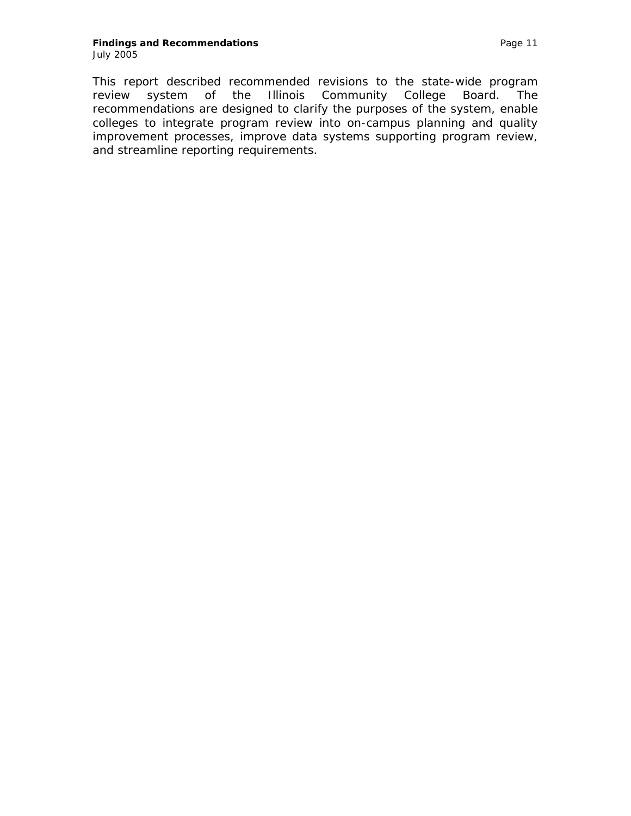#### **Findings and Recommendations Page 11** July 2005

This report described recommended revisions to the state-wide program review system of the Illinois Community College Board. The recommendations are designed to clarify the purposes of the system, enable colleges to integrate program review into on-campus planning and quality improvement processes, improve data systems supporting program review, and streamline reporting requirements.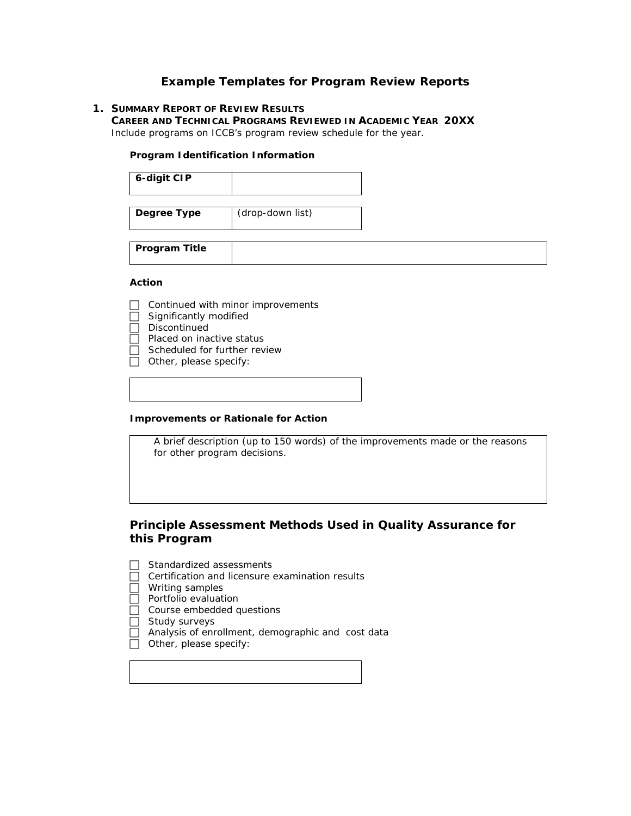### **Example Templates for Program Review Reports**

#### **1. SUMMARY REPORT OF REVIEW RESULTS**

**CAREER AND TECHNICAL PROGRAMS REVIEWED IN ACADEMIC YEAR 20XX** Include programs on ICCB's program review schedule for the year.

#### **Program Identification Information**

| 6-digit CIP |                  |
|-------------|------------------|
| Degree Type | (drop-down list) |

**Program Title** 

#### **Action**

- $\Box$  Continued with minor improvements
- Significantly modified
- $\Box$  Discontinued
- $\Box$  Placed on inactive status
- $\Box$  Scheduled for further review
- $\Box$  Other, please specify:

#### **Improvements or Rationale for Action**

A brief description (up to 150 words) of the improvements made or the reasons for other program decisions.

### **Principle Assessment Methods Used in Quality Assurance for this Program**

- $\Box$  Standardized assessments
- $\Box$  Certification and licensure examination results
- $\Box$  Writing samples
- $\Box$  Portfolio evaluation
- $\Box$  Course embedded questions
- $\Box$  Study surveys
	- Analysis of enrollment, demographic and cost data
- $\overline{\Box}$  Other, please specify: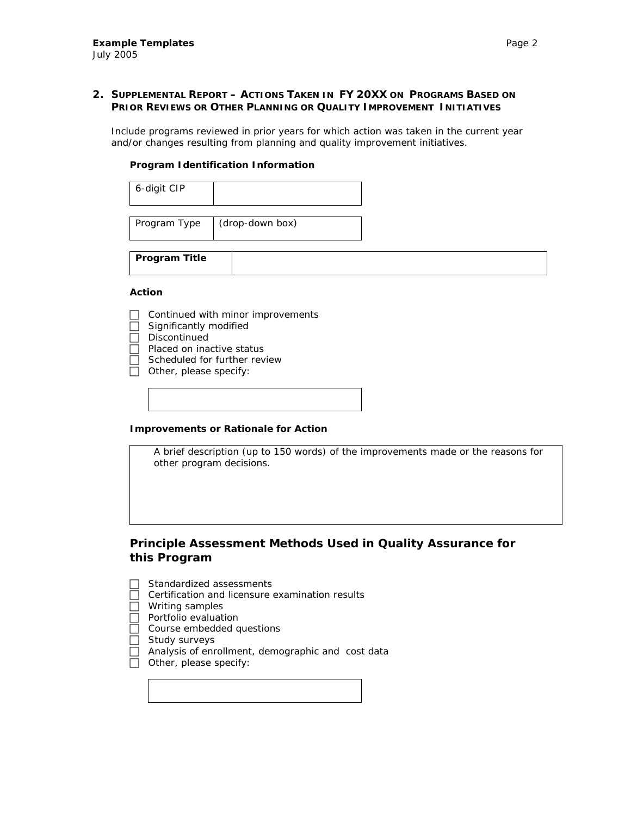### **2. SUPPLEMENTAL REPORT – ACTIONS TAKEN IN FY 20XX ON PROGRAMS BASED ON PRIOR REVIEWS OR OTHER PLANNING OR QUALITY IMPROVEMENT INITIATIVES**

Include programs reviewed in prior years for which action was taken in the current year and/or changes resulting from planning and quality improvement initiatives.

#### **Program Identification Information**

| 6-digit CIP  |                 |
|--------------|-----------------|
|              |                 |
| Program Type | (drop-down box) |

**Program Title** 

#### **Action**

- Continued with minor improvements
- Significantly modified
- $\Box$  Discontinued
- $\Box$  Placed on inactive status
- Scheduled for further review
- $\Box$  Other, please specify:

#### **Improvements or Rationale for Action**

A brief description (up to 150 words) of the improvements made or the reasons for other program decisions.

### **Principle Assessment Methods Used in Quality Assurance for this Program**

- Standardized assessments
- Certification and licensure examination results
- $\Box$  Writing samples
- $\overline{\Box}$  Portfolio evaluation
- $\Box$  Course embedded questions
- $\Box$  Study surveys
- $\overline{\Box}$  Analysis of enrollment, demographic and cost data
- $\overline{\Box}$  Other, please specify: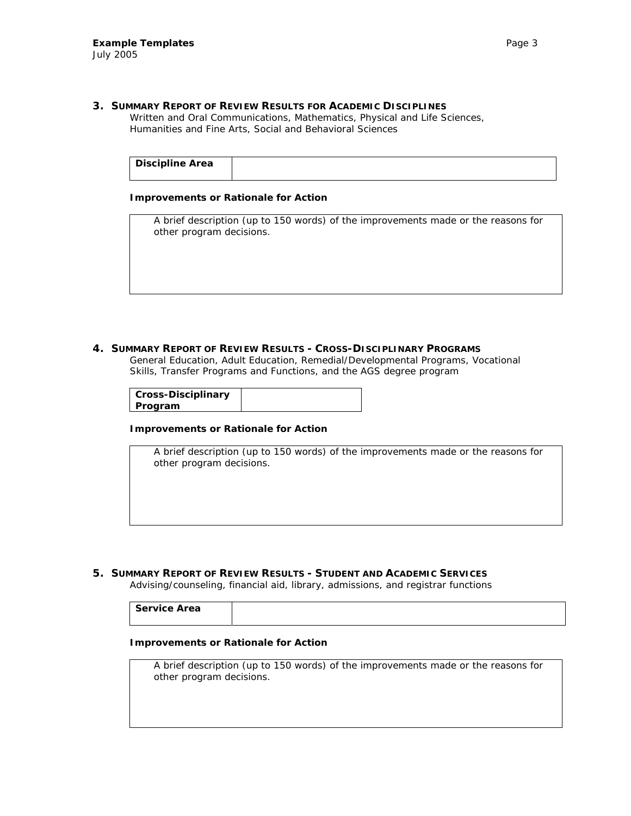#### **3. SUMMARY REPORT OF REVIEW RESULTS FOR ACADEMIC DISCIPLINES**

Written and Oral Communications, Mathematics, Physical and Life Sciences, Humanities and Fine Arts, Social and Behavioral Sciences

| <b>Discipline Area</b> |  |
|------------------------|--|
|------------------------|--|

#### **Improvements or Rationale for Action**

A brief description (up to 150 words) of the improvements made or the reasons for other program decisions.

#### **4. SUMMARY REPORT OF REVIEW RESULTS - CROSS-DISCIPLINARY PROGRAMS**

General Education, Adult Education, Remedial/Developmental Programs, Vocational Skills, Transfer Programs and Functions, and the AGS degree program

|         | <b>Cross-Disciplinary</b> |  |
|---------|---------------------------|--|
| Program |                           |  |

#### **Improvements or Rationale for Action**

A brief description (up to 150 words) of the improvements made or the reasons for other program decisions.

**5. SUMMARY REPORT OF REVIEW RESULTS - STUDENT AND ACADEMIC SERVICES**

Advising/counseling, financial aid, library, admissions, and registrar functions

| <b>Service Area</b> |  |
|---------------------|--|
|                     |  |

#### **Improvements or Rationale for Action**

A brief description (up to 150 words) of the improvements made or the reasons for other program decisions.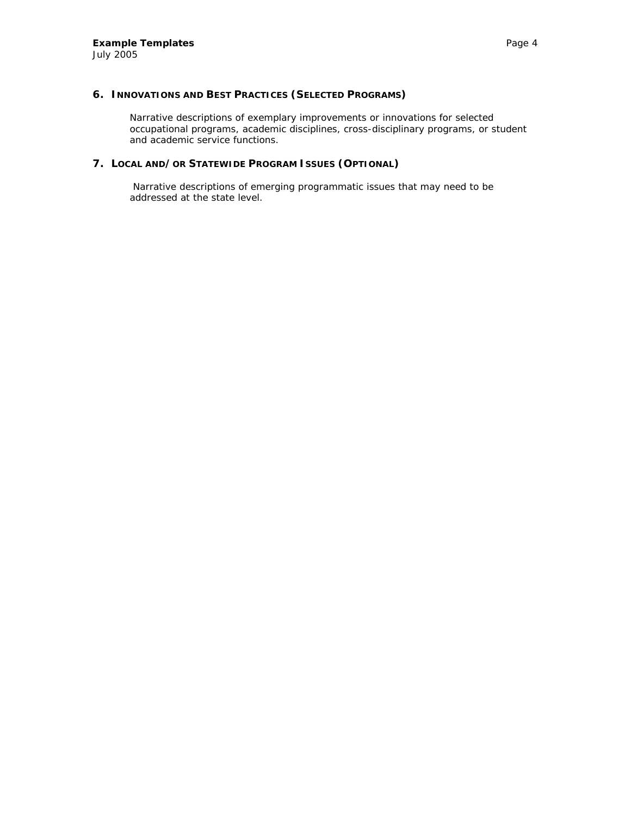Narrative descriptions of exemplary improvements or innovations for selected occupational programs, academic disciplines, cross-disciplinary programs, or student and academic service functions.

#### **7. LOCAL AND/OR STATEWIDE PROGRAM ISSUES (OPTIONAL)**

 Narrative descriptions of emerging programmatic issues that may need to be addressed at the state level.